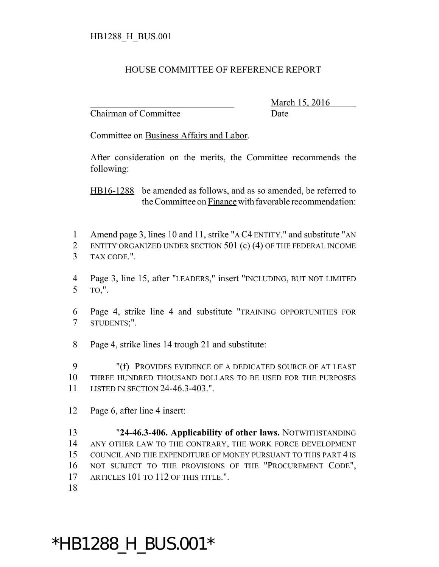## HOUSE COMMITTEE OF REFERENCE REPORT

Chairman of Committee Date

March 15, 2016

Committee on Business Affairs and Labor.

After consideration on the merits, the Committee recommends the following:

HB16-1288 be amended as follows, and as so amended, be referred to the Committee on Finance with favorable recommendation:

- Amend page 3, lines 10 and 11, strike "A C4 ENTITY." and substitute "AN ENTITY ORGANIZED UNDER SECTION 501 (c) (4) OF THE FEDERAL INCOME TAX CODE.".
- Page 3, line 15, after "LEADERS," insert "INCLUDING, BUT NOT LIMITED TO,".
- Page 4, strike line 4 and substitute "TRAINING OPPORTUNITIES FOR STUDENTS;".
- Page 4, strike lines 14 trough 21 and substitute:

 "(f) PROVIDES EVIDENCE OF A DEDICATED SOURCE OF AT LEAST THREE HUNDRED THOUSAND DOLLARS TO BE USED FOR THE PURPOSES LISTED IN SECTION 24-46.3-403.".

Page 6, after line 4 insert:

 "**24-46.3-406. Applicability of other laws.** NOTWITHSTANDING ANY OTHER LAW TO THE CONTRARY, THE WORK FORCE DEVELOPMENT COUNCIL AND THE EXPENDITURE OF MONEY PURSUANT TO THIS PART 4 IS NOT SUBJECT TO THE PROVISIONS OF THE "PROCUREMENT CODE", 17 ARTICLES 101 TO 112 OF THIS TITLE.".

## \*HB1288\_H\_BUS.001\*